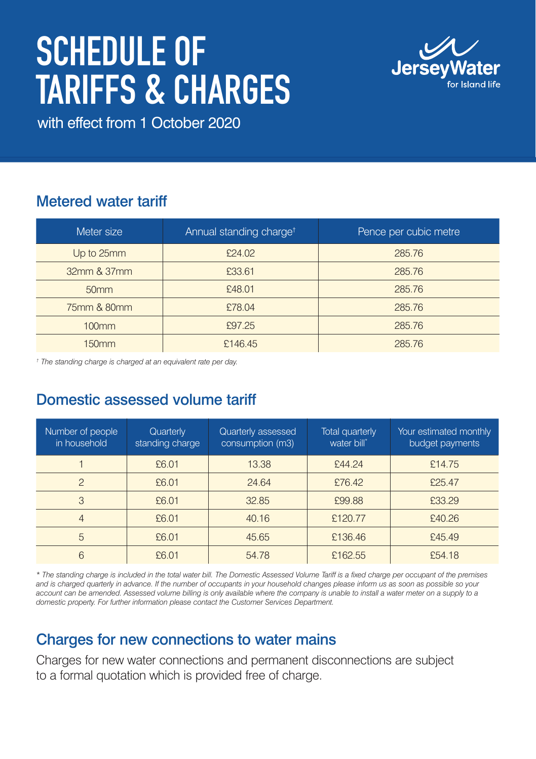# SCHEDULE OF Tariffs & Charges



with effect from 1 October 2020

# Metered water tariff

| Meter size        | Annual standing charge <sup>t</sup> | Pence per cubic metre |
|-------------------|-------------------------------------|-----------------------|
| Up to 25mm        | £24.02                              | 285.76                |
| 32mm & 37mm       | £33.61                              | 285.76                |
| 50 <sub>mm</sub>  | £48.01                              | 285.76                |
| 75mm & 80mm       | £78.04                              | 285.76                |
| 100 <sub>mm</sub> | £97.25                              | 285.76                |
| 150 <sub>mm</sub> | £146.45                             | 285.76                |

*† The standing charge is charged at an equivalent rate per day.*

## Domestic assessed volume tariff

| Number of people<br>in household | Quarterly<br>standing charge | Quarterly assessed<br>consumption (m3) | <b>Total quarterly</b><br>water bill* | Your estimated monthly<br>budget payments |
|----------------------------------|------------------------------|----------------------------------------|---------------------------------------|-------------------------------------------|
|                                  | £6.01                        | 13.38                                  | £44.24                                | £14.75                                    |
| $\mathcal{P}$                    | £6.01                        | 24.64                                  | £76.42                                | £25.47                                    |
| 3                                | £6.01                        | 32.85                                  | £99.88                                | £33.29                                    |
| 4                                | £6.01                        | 40.16                                  | £120.77                               | £40.26                                    |
| 5                                | £6.01                        | 45.65                                  | £136.46                               | £45.49                                    |
| 6                                | £6.01                        | 54.78                                  | £162.55                               | £54.18                                    |

*\* The standing charge is included in the total water bill. The Domestic Assessed Volume Tariff is a fixed charge per occupant of the premises*  and is charged quarterly in advance. If the number of occupants in your household changes please inform us as soon as possible so your account can be amended. Assessed volume billing is only available where the company is unable to install a water meter on a supply to a *domestic property. For further information please contact the Customer Services Department.* 

## Charges for new connections to water mains

Charges for new water connections and permanent disconnections are subject to a formal quotation which is provided free of charge.